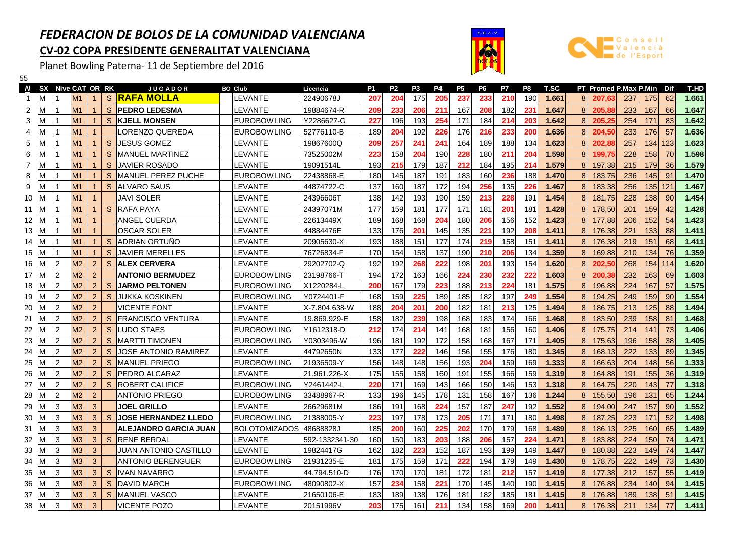## FEDERACION DE BOLOS DE LA COMUNIDAD VALENCIANACV-02 COPA PRESIDENTE GENERALITAT VALENCIANA

Planet Bowling Paterna- 11 de Septiembre del 2016